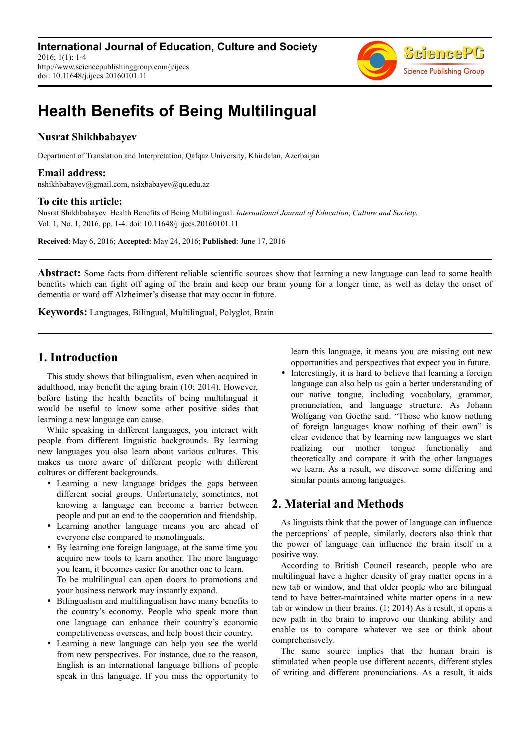

# **Health Benefits of Being Multilingual**

## **Nusrat Shikhbabayev**

Department of Translation and Interpretation, Qafqaz University, Khirdalan, Azerbaijan

#### **Email address:**

nshikhbabayev@gmail.com, nsixbabayev@qu.edu.az

#### **To cite this article:**

Nusrat Shikhbabayev. Health Benefits of Being Multilingual. *International Journal of Education, Culture and Society.* Vol. 1, No. 1, 2016, pp. 1-4. doi: 10.11648/j.ijecs.20160101.11

**Received**: May 6, 2016; **Accepted**: May 24, 2016; **Published**: June 17, 2016

**Abstract:** Some facts from different reliable scientific sources show that learning a new language can lead to some health benefits which can fight off aging of the brain and keep our brain young for a longer time, as well as delay the onset of dementia or ward off Alzheimer's disease that may occur in future.

**Keywords:** Languages, Bilingual, Multilingual, Polyglot, Brain

# **1. Introduction**

This study shows that bilingualism, even when acquired in adulthood, may benefit the aging brain (10; 2014). However, before listing the health benefits of being multilingual it would be useful to know some other positive sides that learning a new language can cause.

While speaking in different languages, you interact with people from different linguistic backgrounds. By learning new languages you also learn about various cultures. This makes us more aware of different people with different cultures or different backgrounds.

- Learning a new language bridges the gaps between different social groups. Unfortunately, sometimes, not knowing a language can become a barrier between people and put an end to the cooperation and friendship.
- Learning another language means you are ahead of everyone else compared to monolinguals.
- By learning one foreign language, at the same time you acquire new tools to learn another. The more language you learn, it becomes easier for another one to learn. To be multilingual can open doors to promotions and your business network may instantly expand.
- Bilingualism and multilingualism have many benefits to the country's economy. People who speak more than one language can enhance their country's economic competitiveness overseas, and help boost their country.
- Learning a new language can help you see the world from new perspectives. For instance, due to the reason, English is an international language billions of people speak in this language. If you miss the opportunity to

learn this language, it means you are missing out new opportunities and perspectives that expect you in future.

 Interestingly, it is hard to believe that learning a foreign language can also help us gain a better understanding of our native tongue, including vocabulary, grammar, pronunciation, and language structure. As Johann Wolfgang von Goethe said. "Those who know nothing of foreign languages know nothing of their own" is clear evidence that by learning new languages we start realizing our mother tongue functionally and theoretically and compare it with the other languages we learn. As a result, we discover some differing and similar points among languages.

# **2. Material and Methods**

As linguists think that the power of language can influence the perceptions' of people, similarly, doctors also think that the power of language can influence the brain itself in a positive way.

According to British Council research, people who are multilingual have a higher density of gray matter opens in a new tab or window, and that older people who are bilingual tend to have better-maintained white matter opens in a new tab or window in their brains. (1; 2014) As a result, it opens a new path in the brain to improve our thinking ability and enable us to compare whatever we see or think about comprehensively.

The same source implies that the human brain is stimulated when people use different accents, different styles of writing and different pronunciations. As a result, it aids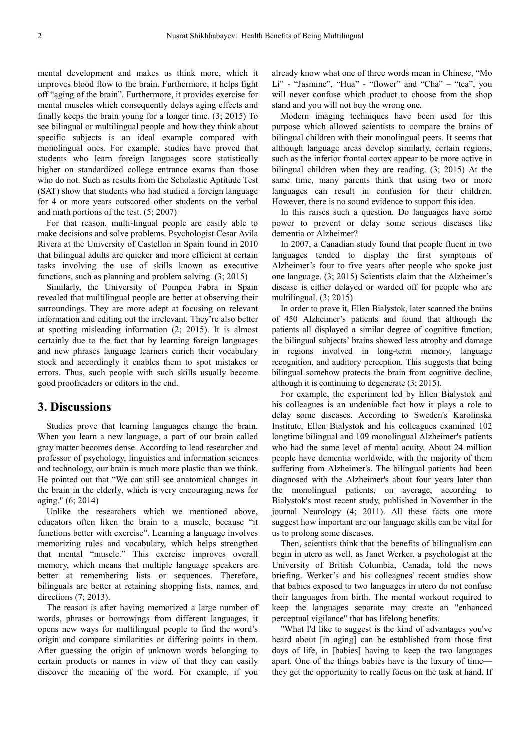mental development and makes us think more, which it improves blood flow to the brain. Furthermore, it helps fight off "aging of the brain". Furthermore, it provides exercise for mental muscles which consequently delays aging effects and finally keeps the brain young for a longer time. (3; 2015) To see bilingual or multilingual people and how they think about specific subjects is an ideal example compared with monolingual ones. For example, studies have proved that students who learn foreign languages score statistically higher on standardized college entrance exams than those who do not. Such as results from the Scholastic Aptitude Test (SAT) show that students who had studied a foreign language for 4 or more years outscored other students on the verbal and math portions of the test. (5; 2007)

For that reason, multi-lingual people are easily able to make decisions and solve problems. Psychologist Cesar Avila Rivera at the University of Castellon in Spain found in 2010 that bilingual adults are quicker and more efficient at certain tasks involving the use of skills known as executive functions, such as planning and problem solving. (3; 2015)

Similarly, the University of Pompeu Fabra in Spain revealed that multilingual people are better at observing their surroundings. They are more adept at focusing on relevant information and editing out the irrelevant. They're also better at spotting misleading information (2; 2015). It is almost certainly due to the fact that by learning foreign languages and new phrases language learners enrich their vocabulary stock and accordingly it enables them to spot mistakes or errors. Thus, such people with such skills usually become good proofreaders or editors in the end.

# **3. Discussions**

Studies prove that learning languages change the brain. When you learn a new language, a part of our brain called gray matter becomes dense. According to lead researcher and professor of psychology, linguistics and information sciences and technology, our brain is much more plastic than we think. He pointed out that "We can still see anatomical changes in the brain in the elderly, which is very encouraging news for aging." (6; 2014)

Unlike the researchers which we mentioned above, educators often liken the brain to a muscle, because "it functions better with exercise". Learning a language involves memorizing rules and vocabulary, which helps strengthen that mental "muscle." This exercise improves overall memory, which means that multiple language speakers are better at remembering lists or sequences. Therefore, bilinguals are better at retaining shopping lists, names, and directions (7; 2013).

The reason is after having memorized a large number of words, phrases or borrowings from different languages, it opens new ways for multilingual people to find the word's origin and compare similarities or differing points in them. After guessing the origin of unknown words belonging to certain products or names in view of that they can easily discover the meaning of the word. For example, if you

already know what one of three words mean in Chinese, "Mo Li" - "Jasmine", "Hua" - "flower" and "Cha" – "tea", you will never confuse which product to choose from the shop stand and you will not buy the wrong one.

Modern imaging techniques have been used for this purpose which allowed scientists to compare the brains of bilingual children with their monolingual peers. It seems that although language areas develop similarly, certain regions, such as the inferior frontal cortex appear to be more active in bilingual children when they are reading. (3; 2015) At the same time, many parents think that using two or more languages can result in confusion for their children. However, there is no sound evidence to support this idea.

In this raises such a question. Do languages have some power to prevent or delay some serious diseases like dementia or Alzheimer?

In 2007, a Canadian study found that people fluent in two languages tended to display the first symptoms of Alzheimer's four to five years after people who spoke just one language. (3; 2015) Scientists claim that the Alzheimer's disease is either delayed or warded off for people who are multilingual. (3; 2015)

In order to prove it, Ellen Bialystok, later scanned the brains of 450 Alzheimer's patients and found that although the patients all displayed a similar degree of cognitive function, the bilingual subjects' brains showed less atrophy and damage in regions involved in long-term memory, language recognition, and auditory perception. This suggests that being bilingual somehow protects the brain from cognitive decline, although it is continuing to degenerate (3; 2015).

For example, the experiment led by Ellen Bialystok and his colleagues is an undeniable fact how it plays a role to delay some diseases. According to Sweden's Karolinska Institute, Ellen Bialystok and his colleagues examined 102 longtime bilingual and 109 monolingual Alzheimer's patients who had the same level of mental acuity. About 24 million people have dementia worldwide, with the majority of them suffering from Alzheimer's. The bilingual patients had been diagnosed with the Alzheimer's about four years later than the monolingual patients, on average, according to Bialystok's most recent study, published in November in the journal Neurology (4; 2011). All these facts one more suggest how important are our language skills can be vital for us to prolong some diseases.

Then, scientists think that the benefits of bilingualism can begin in utero as well, as Janet Werker, a psychologist at the University of British Columbia, Canada, told the news briefing. Werker's and his colleagues' recent studies show that babies exposed to two languages in utero do not confuse their languages from birth. The mental workout required to keep the languages separate may create an "enhanced perceptual vigilance" that has lifelong benefits.

"What I'd like to suggest is the kind of advantages you've heard about [in aging] can be established from those first days of life, in [babies] having to keep the two languages apart. One of the things babies have is the luxury of time they get the opportunity to really focus on the task at hand. If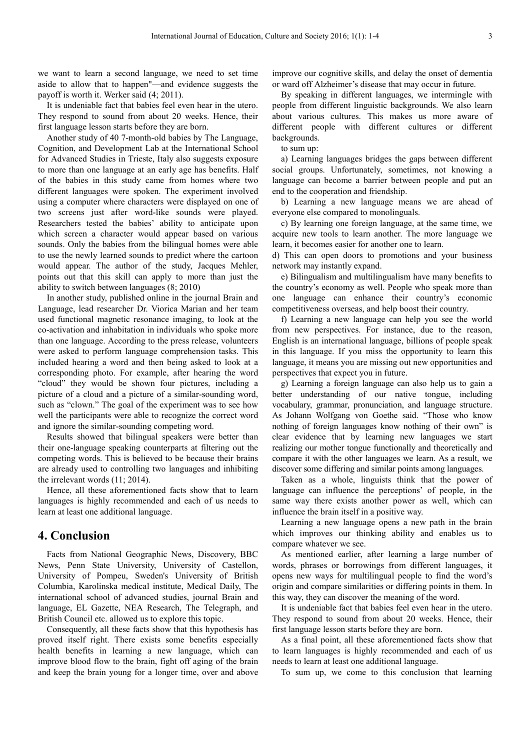we want to learn a second language, we need to set time aside to allow that to happen"—and evidence suggests the payoff is worth it. Werker said (4; 2011).

It is undeniable fact that babies feel even hear in the utero. They respond to sound from about 20 weeks. Hence, their first language lesson starts before they are born.

Another study of 40 7-month-old babies by The Language, Cognition, and Development Lab at the International School for Advanced Studies in Trieste, Italy also suggests exposure to more than one language at an early age has benefits. Half of the babies in this study came from homes where two different languages were spoken. The experiment involved using a computer where characters were displayed on one of two screens just after word-like sounds were played. Researchers tested the babies' ability to anticipate upon which screen a character would appear based on various sounds. Only the babies from the bilingual homes were able to use the newly learned sounds to predict where the cartoon would appear. The author of the study, Jacques Mehler, points out that this skill can apply to more than just the ability to switch between languages (8; 2010)

In another study, published online in the journal Brain and Language, lead researcher Dr. Viorica Marian and her team used functional magnetic resonance imaging, to look at the co-activation and inhabitation in individuals who spoke more than one language. According to the press release, volunteers were asked to perform language comprehension tasks. This included hearing a word and then being asked to look at a corresponding photo. For example, after hearing the word "cloud" they would be shown four pictures, including a picture of a cloud and a picture of a similar-sounding word, such as "clown." The goal of the experiment was to see how well the participants were able to recognize the correct word and ignore the similar-sounding competing word.

Results showed that bilingual speakers were better than their one-language speaking counterparts at filtering out the competing words. This is believed to be because their brains are already used to controlling two languages and inhibiting the irrelevant words (11; 2014).

Hence, all these aforementioned facts show that to learn languages is highly recommended and each of us needs to learn at least one additional language.

# **4. Conclusion**

Facts from National Geographic News, Discovery, BBC News, Penn State University, University of Castellon, University of Pompeu, Sweden's University of British Columbia, Karolinska medical institute, Medical Daily, The international school of advanced studies, journal Brain and language, EL Gazette, NEA Research, The Telegraph, and British Council etc. allowed us to explore this topic.

Consequently, all these facts show that this hypothesis has proved itself right. There exists some benefits especially health benefits in learning a new language, which can improve blood flow to the brain, fight off aging of the brain and keep the brain young for a longer time, over and above

improve our cognitive skills, and delay the onset of dementia or ward off Alzheimer's disease that may occur in future.

By speaking in different languages, we intermingle with people from different linguistic backgrounds. We also learn about various cultures. This makes us more aware of different people with different cultures or different backgrounds.

to sum up:

a) Learning languages bridges the gaps between different social groups. Unfortunately, sometimes, not knowing a language can become a barrier between people and put an end to the cooperation and friendship.

b) Learning a new language means we are ahead of everyone else compared to monolinguals.

c) By learning one foreign language, at the same time, we acquire new tools to learn another. The more language we learn, it becomes easier for another one to learn.

d) This can open doors to promotions and your business network may instantly expand.

e) Bilingualism and multilingualism have many benefits to the country's economy as well. People who speak more than one language can enhance their country's economic competitiveness overseas, and help boost their country.

f) Learning a new language can help you see the world from new perspectives. For instance, due to the reason, English is an international language, billions of people speak in this language. If you miss the opportunity to learn this language, it means you are missing out new opportunities and perspectives that expect you in future.

g) Learning a foreign language can also help us to gain a better understanding of our native tongue, including vocabulary, grammar, pronunciation, and language structure. As Johann Wolfgang von Goethe said. "Those who know nothing of foreign languages know nothing of their own" is clear evidence that by learning new languages we start realizing our mother tongue functionally and theoretically and compare it with the other languages we learn. As a result, we discover some differing and similar points among languages.

Taken as a whole, linguists think that the power of language can influence the perceptions' of people, in the same way there exists another power as well, which can influence the brain itself in a positive way.

Learning a new language opens a new path in the brain which improves our thinking ability and enables us to compare whatever we see.

As mentioned earlier, after learning a large number of words, phrases or borrowings from different languages, it opens new ways for multilingual people to find the word's origin and compare similarities or differing points in them. In this way, they can discover the meaning of the word.

It is undeniable fact that babies feel even hear in the utero. They respond to sound from about 20 weeks. Hence, their first language lesson starts before they are born.

As a final point, all these aforementioned facts show that to learn languages is highly recommended and each of us needs to learn at least one additional language.

To sum up, we come to this conclusion that learning